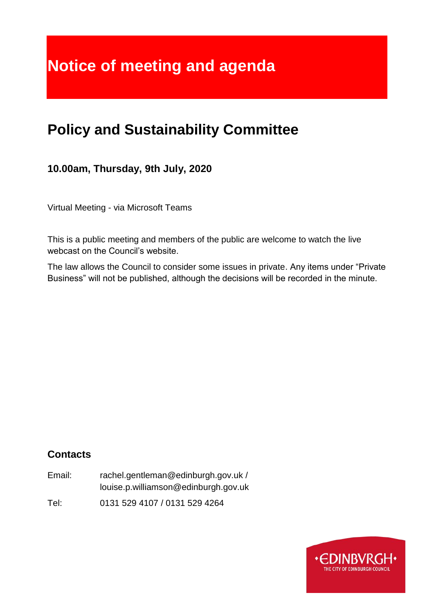# **Notice of meeting and agenda**

## **Policy and Sustainability Committee**

### **10.00am, Thursday, 9th July, 2020**

Virtual Meeting - via Microsoft Teams

This is a public meeting and members of the public are welcome to watch the live webcast on the Council's website.

The law allows the Council to consider some issues in private. Any items under "Private Business" will not be published, although the decisions will be recorded in the minute.

### **Contacts**

Email: rachel.gentleman@edinburgh.gov.uk / louise.p.williamson@edinburgh.gov.uk

Tel: 0131 529 4107 / 0131 529 4264

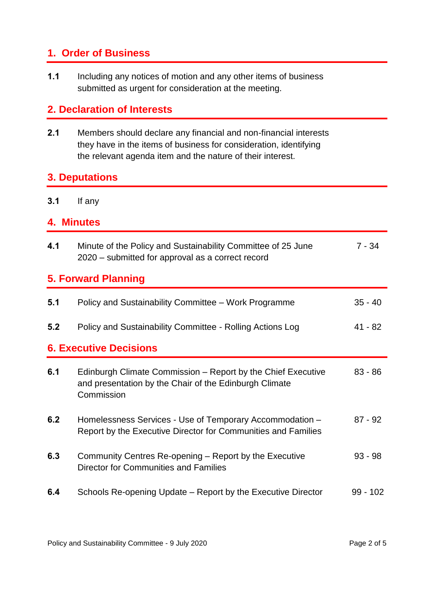### **1. Order of Business**

**1.1** Including any notices of motion and any other items of business submitted as urgent for consideration at the meeting.

### **2. Declaration of Interests**

**2.1** Members should declare any financial and non-financial interests they have in the items of business for consideration, identifying the relevant agenda item and the nature of their interest.

### **3. Deputations**

**3.1** If any

### **4. Minutes**

| 4.1                           | Minute of the Policy and Sustainability Committee of 25 June<br>2020 - submitted for approval as a correct record                    | $7 - 34$   |  |
|-------------------------------|--------------------------------------------------------------------------------------------------------------------------------------|------------|--|
| <b>5. Forward Planning</b>    |                                                                                                                                      |            |  |
| 5.1                           | Policy and Sustainability Committee – Work Programme                                                                                 | $35 - 40$  |  |
| 5.2                           | Policy and Sustainability Committee - Rolling Actions Log                                                                            | $41 - 82$  |  |
| <b>6. Executive Decisions</b> |                                                                                                                                      |            |  |
| 6.1                           | Edinburgh Climate Commission – Report by the Chief Executive<br>and presentation by the Chair of the Edinburgh Climate<br>Commission | $83 - 86$  |  |
| 6.2                           | Homelessness Services - Use of Temporary Accommodation -<br>Report by the Executive Director for Communities and Families            | $87 - 92$  |  |
| 6.3                           | Community Centres Re-opening – Report by the Executive<br><b>Director for Communities and Families</b>                               | $93 - 98$  |  |
| 6.4                           | Schools Re-opening Update – Report by the Executive Director                                                                         | $99 - 102$ |  |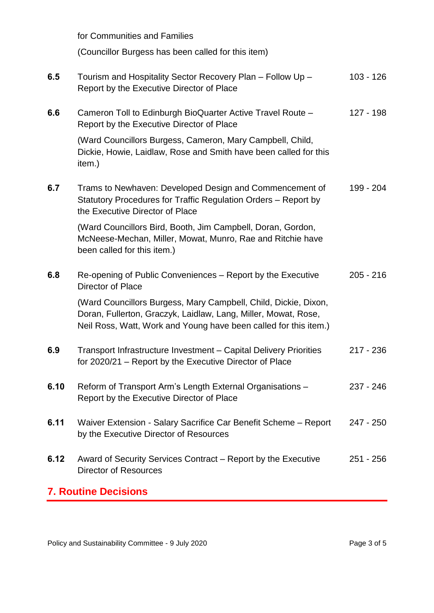for Communities and Families (Councillor Burgess has been called for this item) **6.5** Tourism and Hospitality Sector Recovery Plan – Follow Up – Report by the Executive Director of Place 103 - 126 **6.6** Cameron Toll to Edinburgh BioQuarter Active Travel Route – Report by the Executive Director of Place (Ward Councillors Burgess, Cameron, Mary Campbell, Child, Dickie, Howie, Laidlaw, Rose and Smith have been called for this item.) 127 - 198 **6.7** Trams to Newhaven: Developed Design and Commencement of Statutory Procedures for Traffic Regulation Orders – Report by the Executive Director of Place (Ward Councillors Bird, Booth, Jim Campbell, Doran, Gordon, McNeese-Mechan, Miller, Mowat, Munro, Rae and Ritchie have been called for this item.) 199 - 204 **6.8** Re-opening of Public Conveniences – Report by the Executive Director of Place (Ward Councillors Burgess, Mary Campbell, Child, Dickie, Dixon, Doran, Fullerton, Graczyk, Laidlaw, Lang, Miller, Mowat, Rose, Neil Ross, Watt, Work and Young have been called for this item.) 205 - 216 **6.9** Transport Infrastructure Investment – Capital Delivery Priorities for 2020/21 – Report by the Executive Director of Place 217 - 236 **6.10** Reform of Transport Arm's Length External Organisations – Report by the Executive Director of Place 237 - 246 **6.11** Waiver Extension - Salary Sacrifice Car Benefit Scheme – Report by the Executive Director of Resources 247 - 250 **6.12** Award of Security Services Contract – Report by the Executive Director of Resources 251 - 256 **7. Routine Decisions**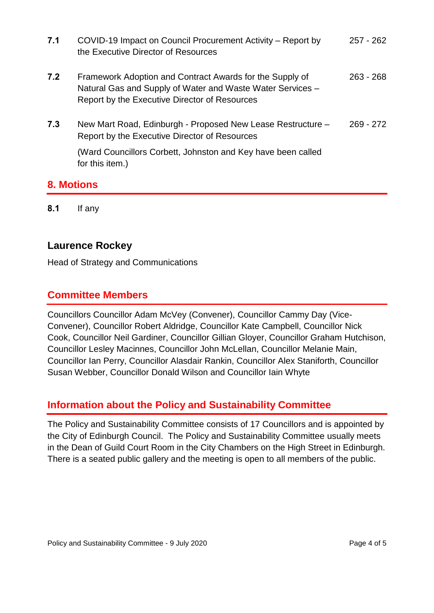| 7.1 | COVID-19 Impact on Council Procurement Activity – Report by<br>the Executive Director of Resources                                                                      | $257 - 262$ |
|-----|-------------------------------------------------------------------------------------------------------------------------------------------------------------------------|-------------|
| 7.2 | Framework Adoption and Contract Awards for the Supply of<br>Natural Gas and Supply of Water and Waste Water Services -<br>Report by the Executive Director of Resources | $263 - 268$ |
| 7.3 | New Mart Road, Edinburgh - Proposed New Lease Restructure -<br>Report by the Executive Director of Resources                                                            | $269 - 272$ |
|     | (Ward Councillors Corbett, Johnston and Key have been called<br>for this item.)                                                                                         |             |

### **8. Motions**

**8.1** If any

### **Laurence Rockey**

Head of Strategy and Communications

### **Committee Members**

Councillors Councillor Adam McVey (Convener), Councillor Cammy Day (Vice-Convener), Councillor Robert Aldridge, Councillor Kate Campbell, Councillor Nick Cook, Councillor Neil Gardiner, Councillor Gillian Gloyer, Councillor Graham Hutchison, Councillor Lesley Macinnes, Councillor John McLellan, Councillor Melanie Main, Councillor Ian Perry, Councillor Alasdair Rankin, Councillor Alex Staniforth, Councillor Susan Webber, Councillor Donald Wilson and Councillor Iain Whyte

### **Information about the Policy and Sustainability Committee**

The Policy and Sustainability Committee consists of 17 Councillors and is appointed by the City of Edinburgh Council. The Policy and Sustainability Committee usually meets in the Dean of Guild Court Room in the City Chambers on the High Street in Edinburgh. There is a seated public gallery and the meeting is open to all members of the public.